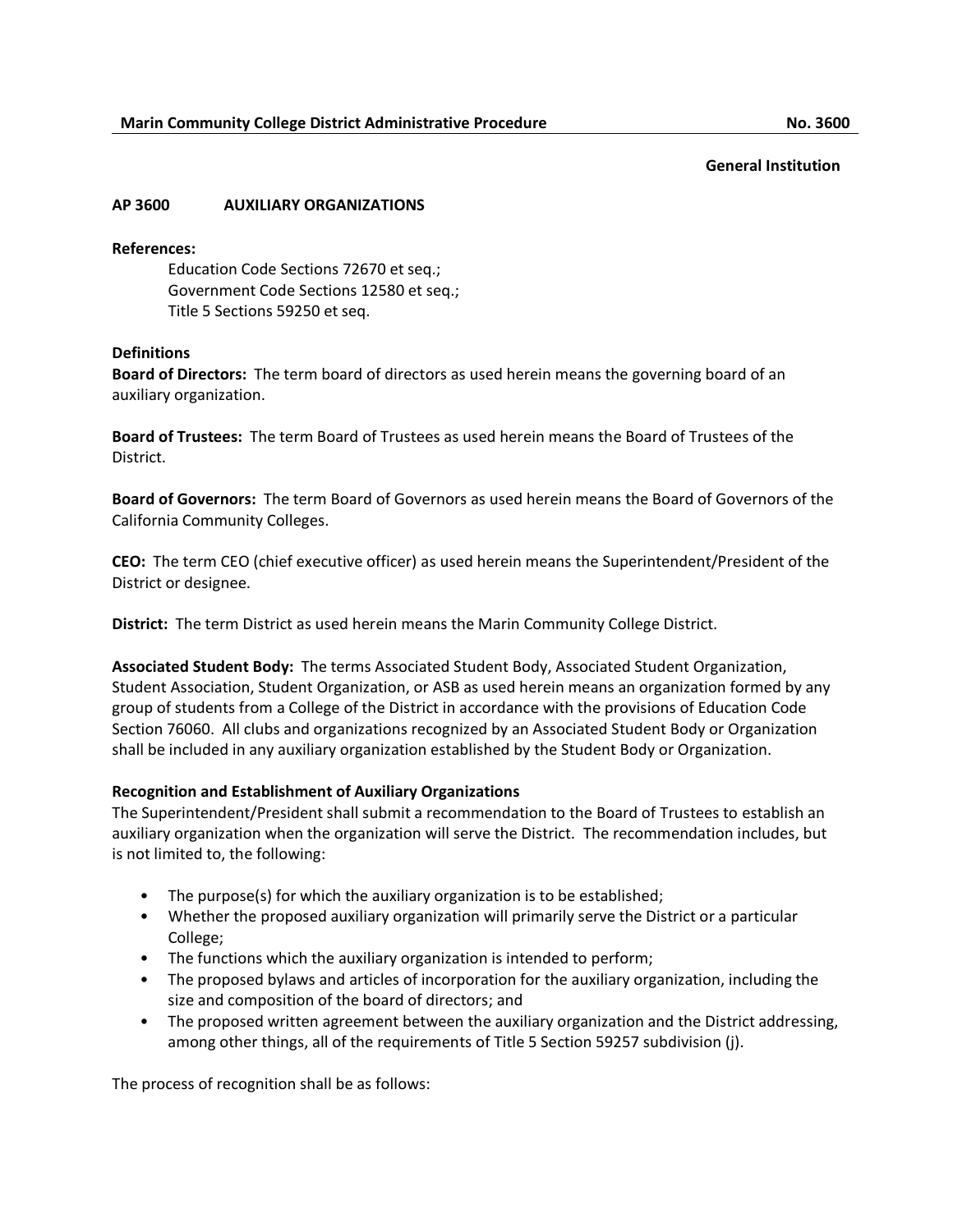### **AP 3600 AUXILIARY ORGANIZATIONS**

#### **References:**

Education Code Sections 72670 et seq.; Government Code Sections 12580 et seq.; Title 5 Sections 59250 et seq.

### **Definitions**

**Board of Directors:** The term board of directors as used herein means the governing board of an auxiliary organization.

**Board of Trustees:** The term Board of Trustees as used herein means the Board of Trustees of the District.

**Board of Governors:** The term Board of Governors as used herein means the Board of Governors of the California Community Colleges.

**CEO:** The term CEO (chief executive officer) as used herein means the Superintendent/President of the District or designee.

**District:** The term District as used herein means the Marin Community College District.

**Associated Student Body:** The terms Associated Student Body, Associated Student Organization, Student Association, Student Organization, or ASB as used herein means an organization formed by any group of students from a College of the District in accordance with the provisions of Education Code Section 76060. All clubs and organizations recognized by an Associated Student Body or Organization shall be included in any auxiliary organization established by the Student Body or Organization.

### **Recognition and Establishment of Auxiliary Organizations**

The Superintendent/President shall submit a recommendation to the Board of Trustees to establish an auxiliary organization when the organization will serve the District. The recommendation includes, but is not limited to, the following:

- The purpose(s) for which the auxiliary organization is to be established;
- Whether the proposed auxiliary organization will primarily serve the District or a particular College;
- The functions which the auxiliary organization is intended to perform;
- The proposed bylaws and articles of incorporation for the auxiliary organization, including the size and composition of the board of directors; and
- The proposed written agreement between the auxiliary organization and the District addressing, among other things, all of the requirements of Title 5 Section 59257 subdivision (j).

The process of recognition shall be as follows: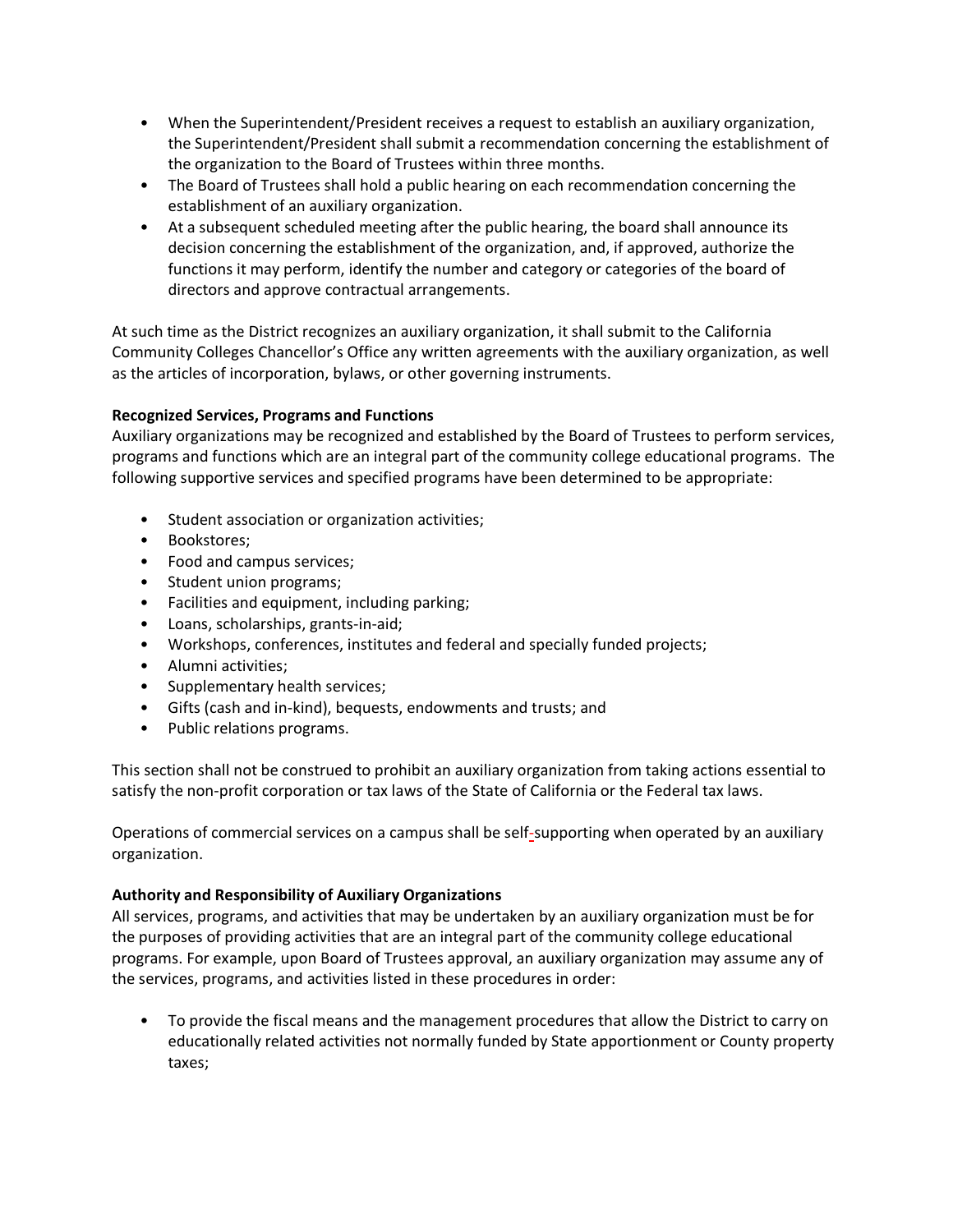- When the Superintendent/President receives a request to establish an auxiliary organization, the Superintendent/President shall submit a recommendation concerning the establishment of the organization to the Board of Trustees within three months.
- The Board of Trustees shall hold a public hearing on each recommendation concerning the establishment of an auxiliary organization.
- At a subsequent scheduled meeting after the public hearing, the board shall announce its decision concerning the establishment of the organization, and, if approved, authorize the functions it may perform, identify the number and category or categories of the board of directors and approve contractual arrangements.

At such time as the District recognizes an auxiliary organization, it shall submit to the California Community Colleges Chancellor's Office any written agreements with the auxiliary organization, as well as the articles of incorporation, bylaws, or other governing instruments.

# **Recognized Services, Programs and Functions**

Auxiliary organizations may be recognized and established by the Board of Trustees to perform services, programs and functions which are an integral part of the community college educational programs. The following supportive services and specified programs have been determined to be appropriate:

- Student association or organization activities;
- Bookstores;
- Food and campus services;
- Student union programs;
- Facilities and equipment, including parking;
- Loans, scholarships, grants-in-aid;
- Workshops, conferences, institutes and federal and specially funded projects;
- Alumni activities;
- Supplementary health services;
- Gifts (cash and in-kind), bequests, endowments and trusts; and
- Public relations programs.

This section shall not be construed to prohibit an auxiliary organization from taking actions essential to satisfy the non-profit corporation or tax laws of the State of California or the Federal tax laws.

Operations of commercial services on a campus shall be self-supporting when operated by an auxiliary organization.

### **Authority and Responsibility of Auxiliary Organizations**

All services, programs, and activities that may be undertaken by an auxiliary organization must be for the purposes of providing activities that are an integral part of the community college educational programs. For example, upon Board of Trustees approval, an auxiliary organization may assume any of the services, programs, and activities listed in these procedures in order:

• To provide the fiscal means and the management procedures that allow the District to carry on educationally related activities not normally funded by State apportionment or County property taxes;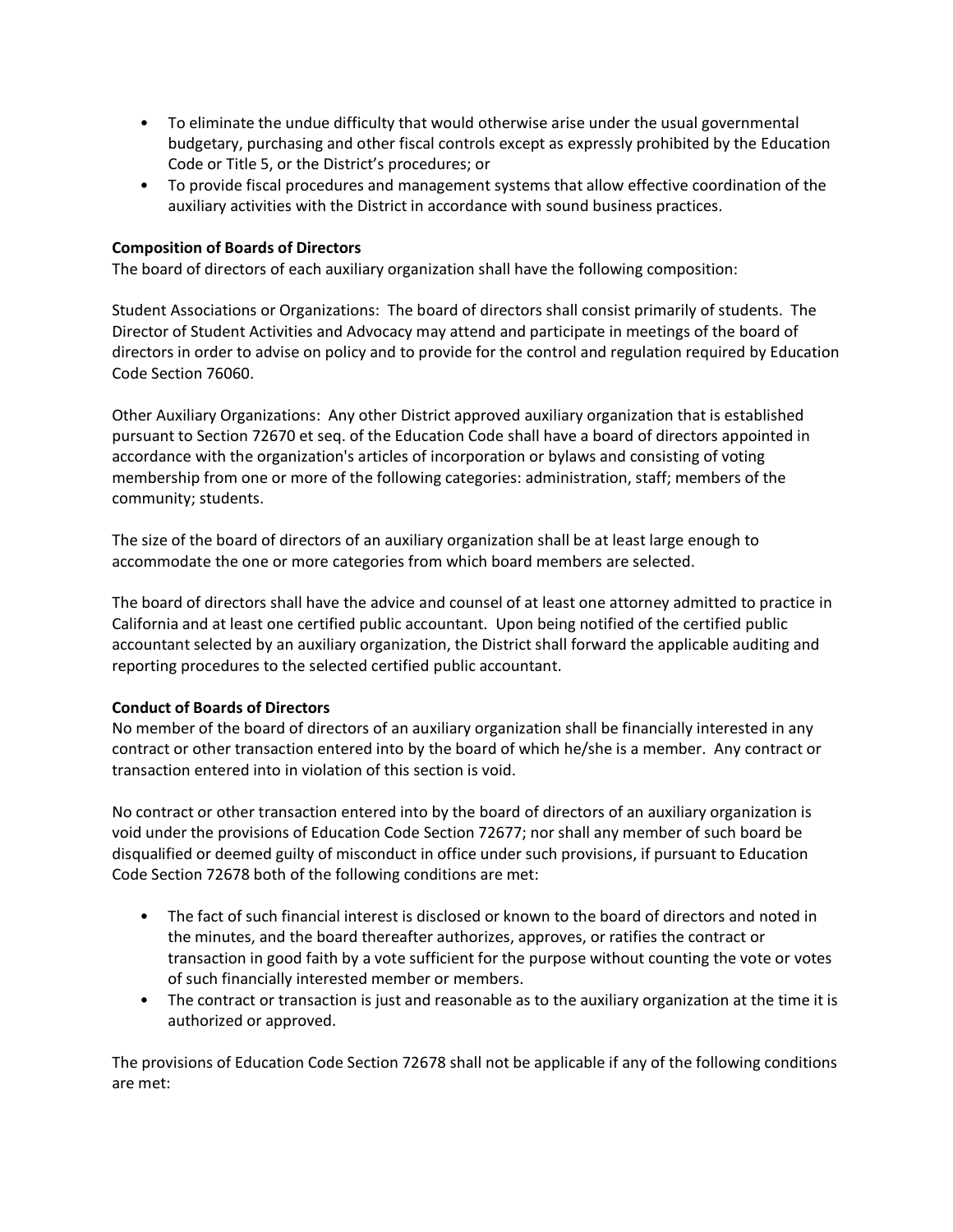- To eliminate the undue difficulty that would otherwise arise under the usual governmental budgetary, purchasing and other fiscal controls except as expressly prohibited by the Education Code or Title 5, or the District's procedures; or
- To provide fiscal procedures and management systems that allow effective coordination of the auxiliary activities with the District in accordance with sound business practices.

## **Composition of Boards of Directors**

The board of directors of each auxiliary organization shall have the following composition:

Student Associations or Organizations: The board of directors shall consist primarily of students. The Director of Student Activities and Advocacy may attend and participate in meetings of the board of directors in order to advise on policy and to provide for the control and regulation required by Education Code Section 76060.

Other Auxiliary Organizations: Any other District approved auxiliary organization that is established pursuant to Section 72670 et seq. of the Education Code shall have a board of directors appointed in accordance with the organization's articles of incorporation or bylaws and consisting of voting membership from one or more of the following categories: administration, staff; members of the community; students.

The size of the board of directors of an auxiliary organization shall be at least large enough to accommodate the one or more categories from which board members are selected.

The board of directors shall have the advice and counsel of at least one attorney admitted to practice in California and at least one certified public accountant. Upon being notified of the certified public accountant selected by an auxiliary organization, the District shall forward the applicable auditing and reporting procedures to the selected certified public accountant.

### **Conduct of Boards of Directors**

No member of the board of directors of an auxiliary organization shall be financially interested in any contract or other transaction entered into by the board of which he/she is a member. Any contract or transaction entered into in violation of this section is void.

No contract or other transaction entered into by the board of directors of an auxiliary organization is void under the provisions of Education Code Section 72677; nor shall any member of such board be disqualified or deemed guilty of misconduct in office under such provisions, if pursuant to Education Code Section 72678 both of the following conditions are met:

- The fact of such financial interest is disclosed or known to the board of directors and noted in the minutes, and the board thereafter authorizes, approves, or ratifies the contract or transaction in good faith by a vote sufficient for the purpose without counting the vote or votes of such financially interested member or members.
- The contract or transaction is just and reasonable as to the auxiliary organization at the time it is authorized or approved.

The provisions of Education Code Section 72678 shall not be applicable if any of the following conditions are met: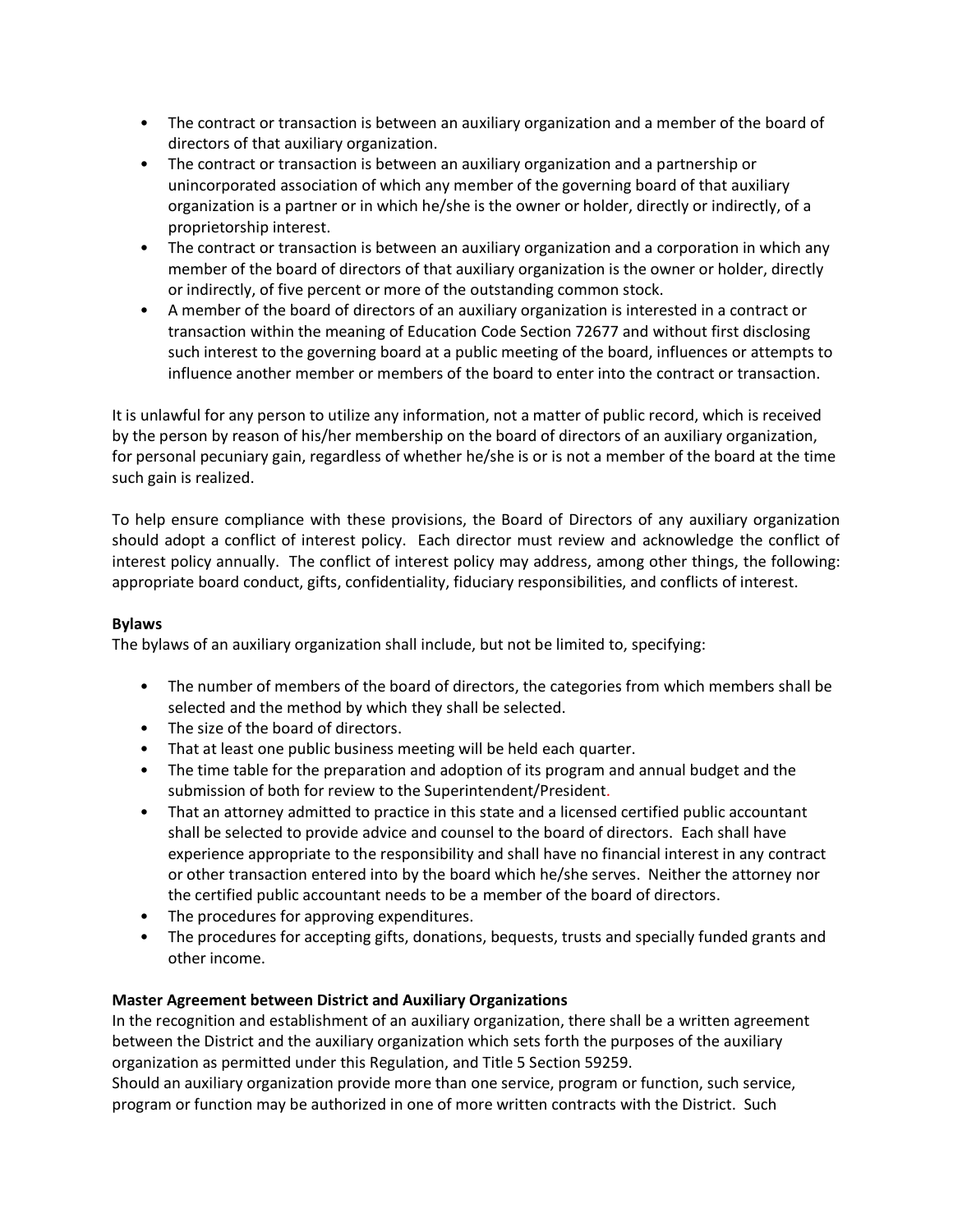- The contract or transaction is between an auxiliary organization and a member of the board of directors of that auxiliary organization.
- The contract or transaction is between an auxiliary organization and a partnership or unincorporated association of which any member of the governing board of that auxiliary organization is a partner or in which he/she is the owner or holder, directly or indirectly, of a proprietorship interest.
- The contract or transaction is between an auxiliary organization and a corporation in which any member of the board of directors of that auxiliary organization is the owner or holder, directly or indirectly, of five percent or more of the outstanding common stock.
- A member of the board of directors of an auxiliary organization is interested in a contract or transaction within the meaning of Education Code Section 72677 and without first disclosing such interest to the governing board at a public meeting of the board, influences or attempts to influence another member or members of the board to enter into the contract or transaction.

It is unlawful for any person to utilize any information, not a matter of public record, which is received by the person by reason of his/her membership on the board of directors of an auxiliary organization, for personal pecuniary gain, regardless of whether he/she is or is not a member of the board at the time such gain is realized.

To help ensure compliance with these provisions, the Board of Directors of any auxiliary organization should adopt a conflict of interest policy. Each director must review and acknowledge the conflict of interest policy annually. The conflict of interest policy may address, among other things, the following: appropriate board conduct, gifts, confidentiality, fiduciary responsibilities, and conflicts of interest.

## **Bylaws**

The bylaws of an auxiliary organization shall include, but not be limited to, specifying:

- The number of members of the board of directors, the categories from which members shall be selected and the method by which they shall be selected.
- The size of the board of directors.
- That at least one public business meeting will be held each quarter.
- The time table for the preparation and adoption of its program and annual budget and the submission of both for review to the Superintendent/President.
- That an attorney admitted to practice in this state and a licensed certified public accountant shall be selected to provide advice and counsel to the board of directors. Each shall have experience appropriate to the responsibility and shall have no financial interest in any contract or other transaction entered into by the board which he/she serves. Neither the attorney nor the certified public accountant needs to be a member of the board of directors.
- The procedures for approving expenditures.
- The procedures for accepting gifts, donations, bequests, trusts and specially funded grants and other income.

### **Master Agreement between District and Auxiliary Organizations**

In the recognition and establishment of an auxiliary organization, there shall be a written agreement between the District and the auxiliary organization which sets forth the purposes of the auxiliary organization as permitted under this Regulation, and Title 5 Section 59259.

Should an auxiliary organization provide more than one service, program or function, such service, program or function may be authorized in one of more written contracts with the District. Such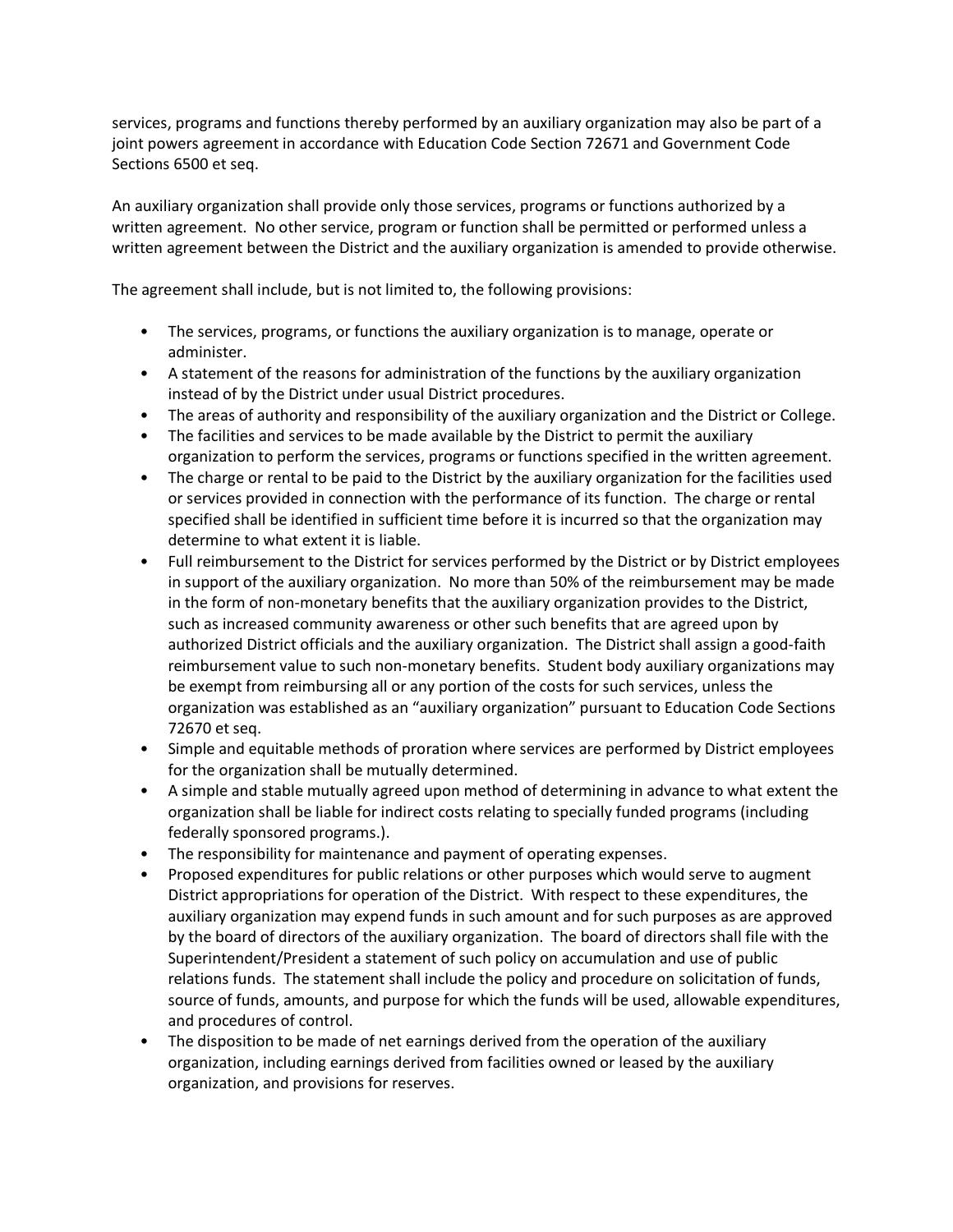services, programs and functions thereby performed by an auxiliary organization may also be part of a joint powers agreement in accordance with Education Code Section 72671 and Government Code Sections 6500 et seq.

An auxiliary organization shall provide only those services, programs or functions authorized by a written agreement. No other service, program or function shall be permitted or performed unless a written agreement between the District and the auxiliary organization is amended to provide otherwise.

The agreement shall include, but is not limited to, the following provisions:

- The services, programs, or functions the auxiliary organization is to manage, operate or administer.
- A statement of the reasons for administration of the functions by the auxiliary organization instead of by the District under usual District procedures.
- The areas of authority and responsibility of the auxiliary organization and the District or College.
- The facilities and services to be made available by the District to permit the auxiliary organization to perform the services, programs or functions specified in the written agreement.
- The charge or rental to be paid to the District by the auxiliary organization for the facilities used or services provided in connection with the performance of its function. The charge or rental specified shall be identified in sufficient time before it is incurred so that the organization may determine to what extent it is liable.
- Full reimbursement to the District for services performed by the District or by District employees in support of the auxiliary organization. No more than 50% of the reimbursement may be made in the form of non-monetary benefits that the auxiliary organization provides to the District, such as increased community awareness or other such benefits that are agreed upon by authorized District officials and the auxiliary organization. The District shall assign a good-faith reimbursement value to such non-monetary benefits. Student body auxiliary organizations may be exempt from reimbursing all or any portion of the costs for such services, unless the organization was established as an "auxiliary organization" pursuant to Education Code Sections 72670 et seq.
- Simple and equitable methods of proration where services are performed by District employees for the organization shall be mutually determined.
- A simple and stable mutually agreed upon method of determining in advance to what extent the organization shall be liable for indirect costs relating to specially funded programs (including federally sponsored programs.).
- The responsibility for maintenance and payment of operating expenses.
- Proposed expenditures for public relations or other purposes which would serve to augment District appropriations for operation of the District. With respect to these expenditures, the auxiliary organization may expend funds in such amount and for such purposes as are approved by the board of directors of the auxiliary organization. The board of directors shall file with the Superintendent/President a statement of such policy on accumulation and use of public relations funds. The statement shall include the policy and procedure on solicitation of funds, source of funds, amounts, and purpose for which the funds will be used, allowable expenditures, and procedures of control.
- The disposition to be made of net earnings derived from the operation of the auxiliary organization, including earnings derived from facilities owned or leased by the auxiliary organization, and provisions for reserves.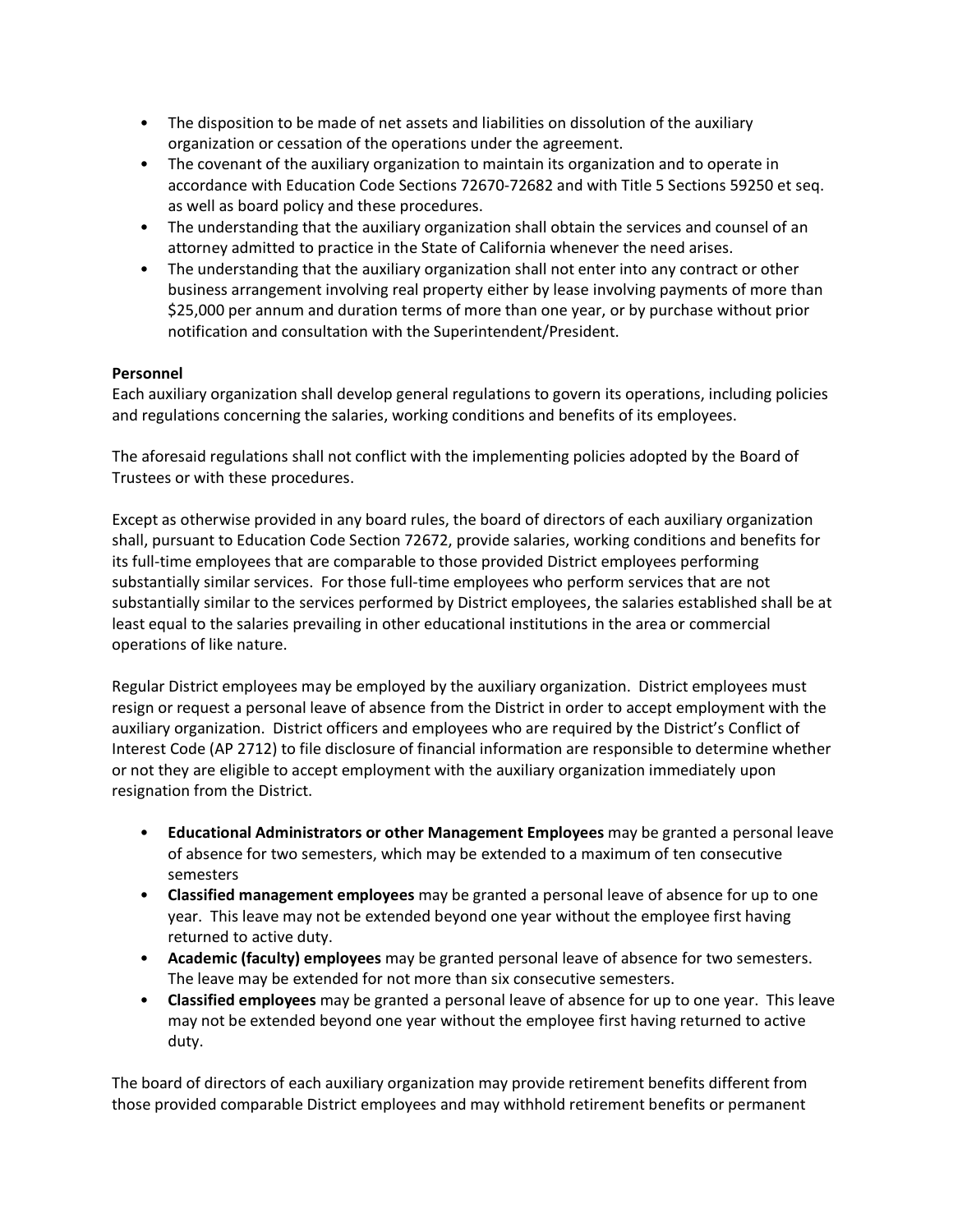- The disposition to be made of net assets and liabilities on dissolution of the auxiliary organization or cessation of the operations under the agreement.
- The covenant of the auxiliary organization to maintain its organization and to operate in accordance with Education Code Sections 72670-72682 and with Title 5 Sections 59250 et seq. as well as board policy and these procedures.
- The understanding that the auxiliary organization shall obtain the services and counsel of an attorney admitted to practice in the State of California whenever the need arises.
- The understanding that the auxiliary organization shall not enter into any contract or other business arrangement involving real property either by lease involving payments of more than \$25,000 per annum and duration terms of more than one year, or by purchase without prior notification and consultation with the Superintendent/President.

# **Personnel**

Each auxiliary organization shall develop general regulations to govern its operations, including policies and regulations concerning the salaries, working conditions and benefits of its employees.

The aforesaid regulations shall not conflict with the implementing policies adopted by the Board of Trustees or with these procedures.

Except as otherwise provided in any board rules, the board of directors of each auxiliary organization shall, pursuant to Education Code Section 72672, provide salaries, working conditions and benefits for its full-time employees that are comparable to those provided District employees performing substantially similar services. For those full-time employees who perform services that are not substantially similar to the services performed by District employees, the salaries established shall be at least equal to the salaries prevailing in other educational institutions in the area or commercial operations of like nature.

Regular District employees may be employed by the auxiliary organization. District employees must resign or request a personal leave of absence from the District in order to accept employment with the auxiliary organization. District officers and employees who are required by the District's Conflict of Interest Code (AP 2712) to file disclosure of financial information are responsible to determine whether or not they are eligible to accept employment with the auxiliary organization immediately upon resignation from the District.

- **Educational Administrators or other Management Employees** may be granted a personal leave of absence for two semesters, which may be extended to a maximum of ten consecutive semesters
- **Classified management employees** may be granted a personal leave of absence for up to one year. This leave may not be extended beyond one year without the employee first having returned to active duty.
- **Academic (faculty) employees** may be granted personal leave of absence for two semesters. The leave may be extended for not more than six consecutive semesters.
- **Classified employees** may be granted a personal leave of absence for up to one year. This leave may not be extended beyond one year without the employee first having returned to active duty.

The board of directors of each auxiliary organization may provide retirement benefits different from those provided comparable District employees and may withhold retirement benefits or permanent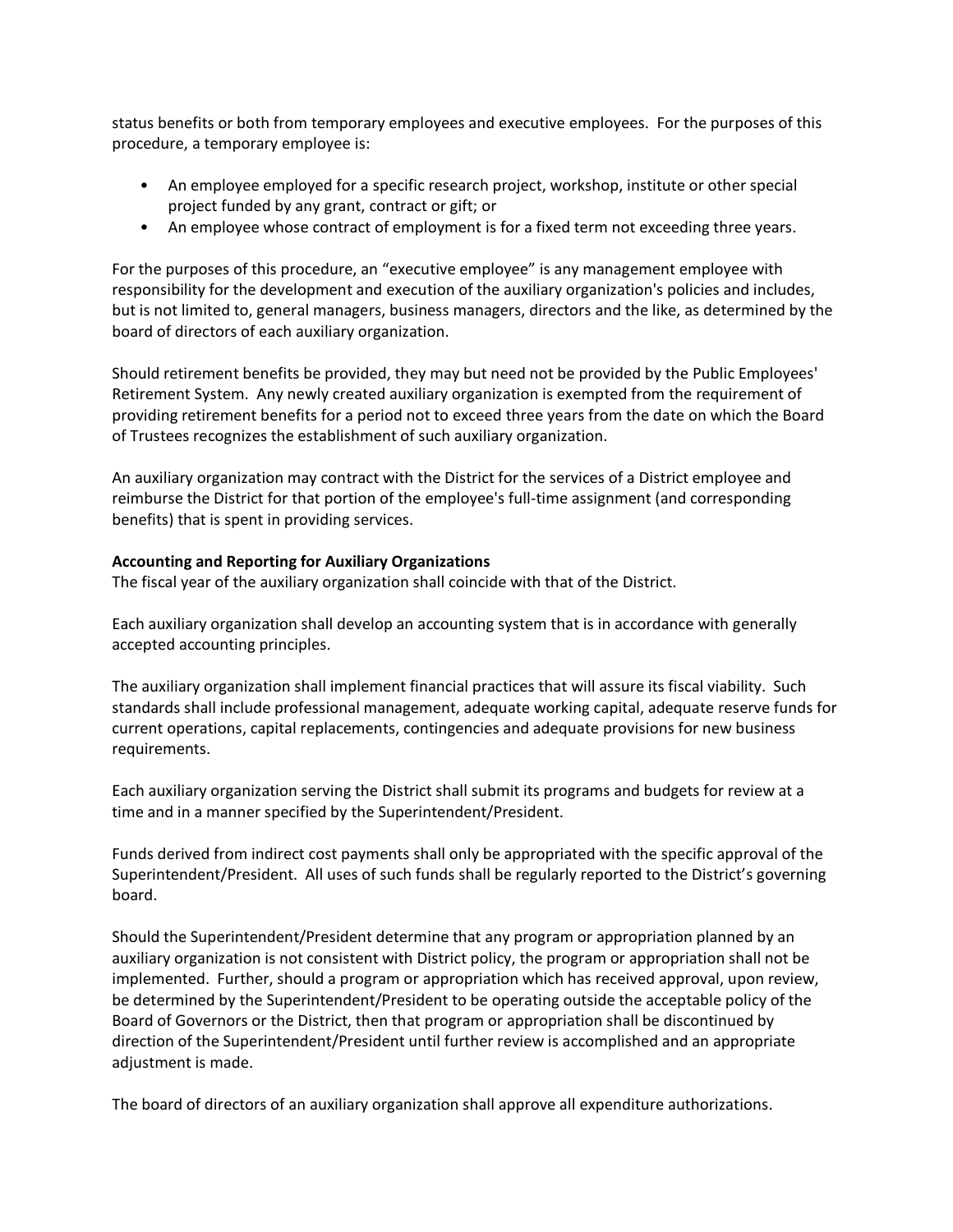status benefits or both from temporary employees and executive employees. For the purposes of this procedure, a temporary employee is:

- An employee employed for a specific research project, workshop, institute or other special project funded by any grant, contract or gift; or
- An employee whose contract of employment is for a fixed term not exceeding three years.

For the purposes of this procedure, an "executive employee" is any management employee with responsibility for the development and execution of the auxiliary organization's policies and includes, but is not limited to, general managers, business managers, directors and the like, as determined by the board of directors of each auxiliary organization.

Should retirement benefits be provided, they may but need not be provided by the Public Employees' Retirement System. Any newly created auxiliary organization is exempted from the requirement of providing retirement benefits for a period not to exceed three years from the date on which the Board of Trustees recognizes the establishment of such auxiliary organization.

An auxiliary organization may contract with the District for the services of a District employee and reimburse the District for that portion of the employee's full-time assignment (and corresponding benefits) that is spent in providing services.

### **Accounting and Reporting for Auxiliary Organizations**

The fiscal year of the auxiliary organization shall coincide with that of the District.

Each auxiliary organization shall develop an accounting system that is in accordance with generally accepted accounting principles.

The auxiliary organization shall implement financial practices that will assure its fiscal viability. Such standards shall include professional management, adequate working capital, adequate reserve funds for current operations, capital replacements, contingencies and adequate provisions for new business requirements.

Each auxiliary organization serving the District shall submit its programs and budgets for review at a time and in a manner specified by the Superintendent/President.

Funds derived from indirect cost payments shall only be appropriated with the specific approval of the Superintendent/President. All uses of such funds shall be regularly reported to the District's governing board.

Should the Superintendent/President determine that any program or appropriation planned by an auxiliary organization is not consistent with District policy, the program or appropriation shall not be implemented. Further, should a program or appropriation which has received approval, upon review, be determined by the Superintendent/President to be operating outside the acceptable policy of the Board of Governors or the District, then that program or appropriation shall be discontinued by direction of the Superintendent/President until further review is accomplished and an appropriate adjustment is made.

The board of directors of an auxiliary organization shall approve all expenditure authorizations.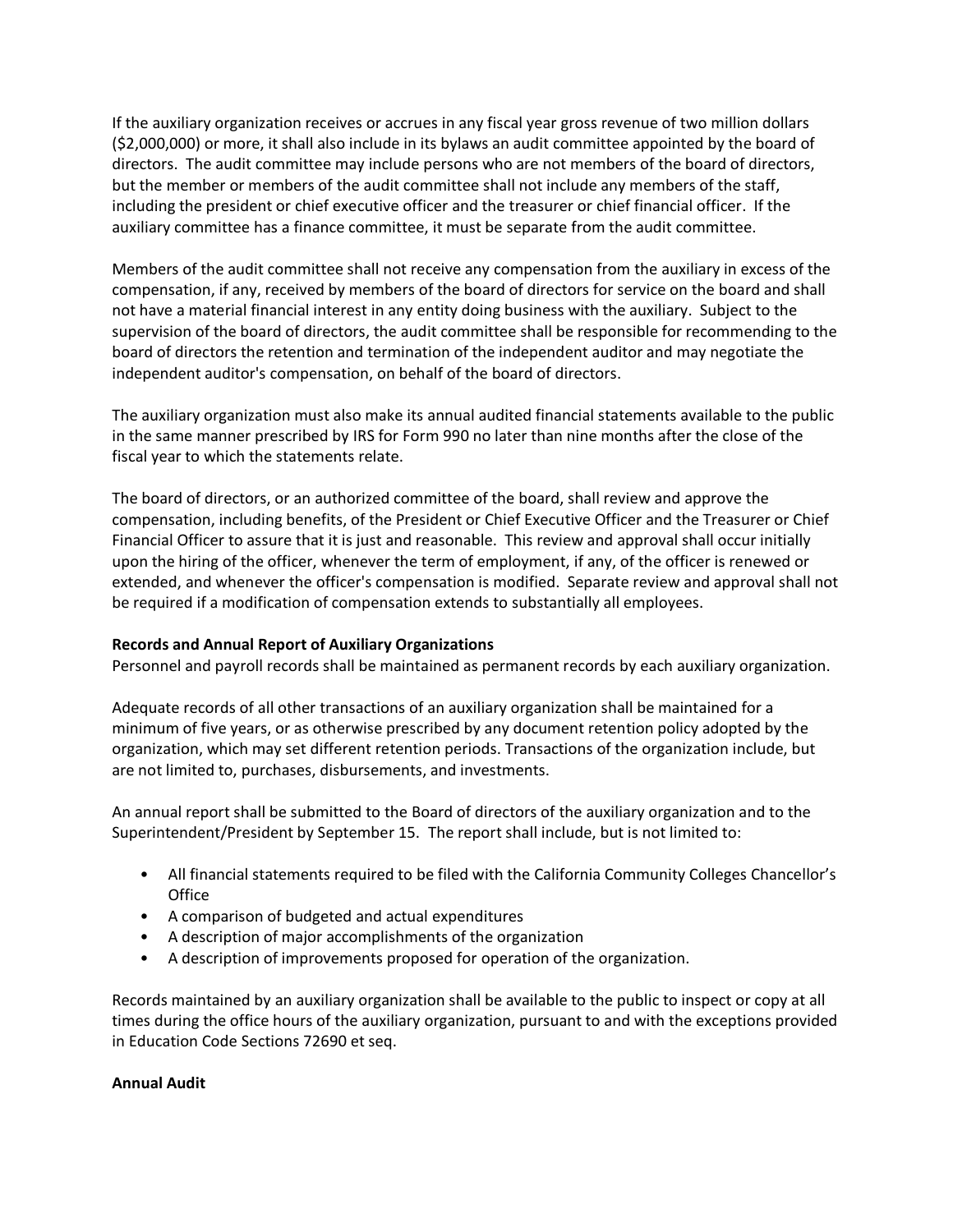If the auxiliary organization receives or accrues in any fiscal year gross revenue of two million dollars (\$2,000,000) or more, it shall also include in its bylaws an audit committee appointed by the board of directors. The audit committee may include persons who are not members of the board of directors, but the member or members of the audit committee shall not include any members of the staff, including the president or chief executive officer and the treasurer or chief financial officer. If the auxiliary committee has a finance committee, it must be separate from the audit committee.

Members of the audit committee shall not receive any compensation from the auxiliary in excess of the compensation, if any, received by members of the board of directors for service on the board and shall not have a material financial interest in any entity doing business with the auxiliary. Subject to the supervision of the board of directors, the audit committee shall be responsible for recommending to the board of directors the retention and termination of the independent auditor and may negotiate the independent auditor's compensation, on behalf of the board of directors.

The auxiliary organization must also make its annual audited financial statements available to the public in the same manner prescribed by IRS for Form 990 no later than nine months after the close of the fiscal year to which the statements relate.

The board of directors, or an authorized committee of the board, shall review and approve the compensation, including benefits, of the President or Chief Executive Officer and the Treasurer or Chief Financial Officer to assure that it is just and reasonable. This review and approval shall occur initially upon the hiring of the officer, whenever the term of employment, if any, of the officer is renewed or extended, and whenever the officer's compensation is modified. Separate review and approval shall not be required if a modification of compensation extends to substantially all employees.

### **Records and Annual Report of Auxiliary Organizations**

Personnel and payroll records shall be maintained as permanent records by each auxiliary organization.

Adequate records of all other transactions of an auxiliary organization shall be maintained for a minimum of five years, or as otherwise prescribed by any document retention policy adopted by the organization, which may set different retention periods. Transactions of the organization include, but are not limited to, purchases, disbursements, and investments.

An annual report shall be submitted to the Board of directors of the auxiliary organization and to the Superintendent/President by September 15. The report shall include, but is not limited to:

- All financial statements required to be filed with the California Community Colleges Chancellor's **Office**
- A comparison of budgeted and actual expenditures
- A description of major accomplishments of the organization
- A description of improvements proposed for operation of the organization.

Records maintained by an auxiliary organization shall be available to the public to inspect or copy at all times during the office hours of the auxiliary organization, pursuant to and with the exceptions provided in Education Code Sections 72690 et seq.

### **Annual Audit**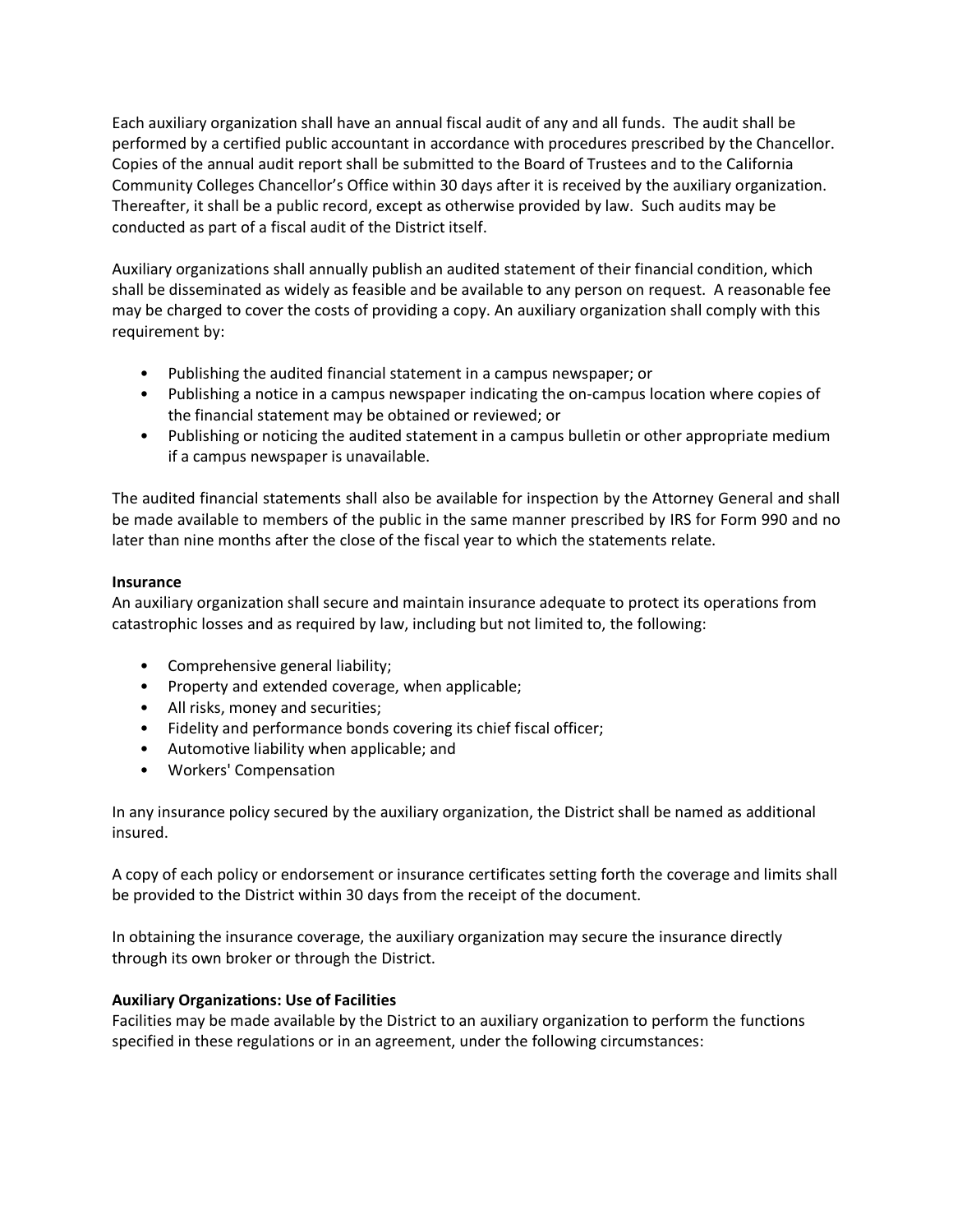Each auxiliary organization shall have an annual fiscal audit of any and all funds. The audit shall be performed by a certified public accountant in accordance with procedures prescribed by the Chancellor. Copies of the annual audit report shall be submitted to the Board of Trustees and to the California Community Colleges Chancellor's Office within 30 days after it is received by the auxiliary organization. Thereafter, it shall be a public record, except as otherwise provided by law. Such audits may be conducted as part of a fiscal audit of the District itself.

Auxiliary organizations shall annually publish an audited statement of their financial condition, which shall be disseminated as widely as feasible and be available to any person on request. A reasonable fee may be charged to cover the costs of providing a copy. An auxiliary organization shall comply with this requirement by:

- Publishing the audited financial statement in a campus newspaper; or
- Publishing a notice in a campus newspaper indicating the on-campus location where copies of the financial statement may be obtained or reviewed; or
- Publishing or noticing the audited statement in a campus bulletin or other appropriate medium if a campus newspaper is unavailable.

The audited financial statements shall also be available for inspection by the Attorney General and shall be made available to members of the public in the same manner prescribed by IRS for Form 990 and no later than nine months after the close of the fiscal year to which the statements relate.

## **Insurance**

An auxiliary organization shall secure and maintain insurance adequate to protect its operations from catastrophic losses and as required by law, including but not limited to, the following:

- Comprehensive general liability;
- Property and extended coverage, when applicable;
- All risks, money and securities;
- Fidelity and performance bonds covering its chief fiscal officer;
- Automotive liability when applicable; and
- Workers' Compensation

In any insurance policy secured by the auxiliary organization, the District shall be named as additional insured.

A copy of each policy or endorsement or insurance certificates setting forth the coverage and limits shall be provided to the District within 30 days from the receipt of the document.

In obtaining the insurance coverage, the auxiliary organization may secure the insurance directly through its own broker or through the District.

### **Auxiliary Organizations: Use of Facilities**

Facilities may be made available by the District to an auxiliary organization to perform the functions specified in these regulations or in an agreement, under the following circumstances: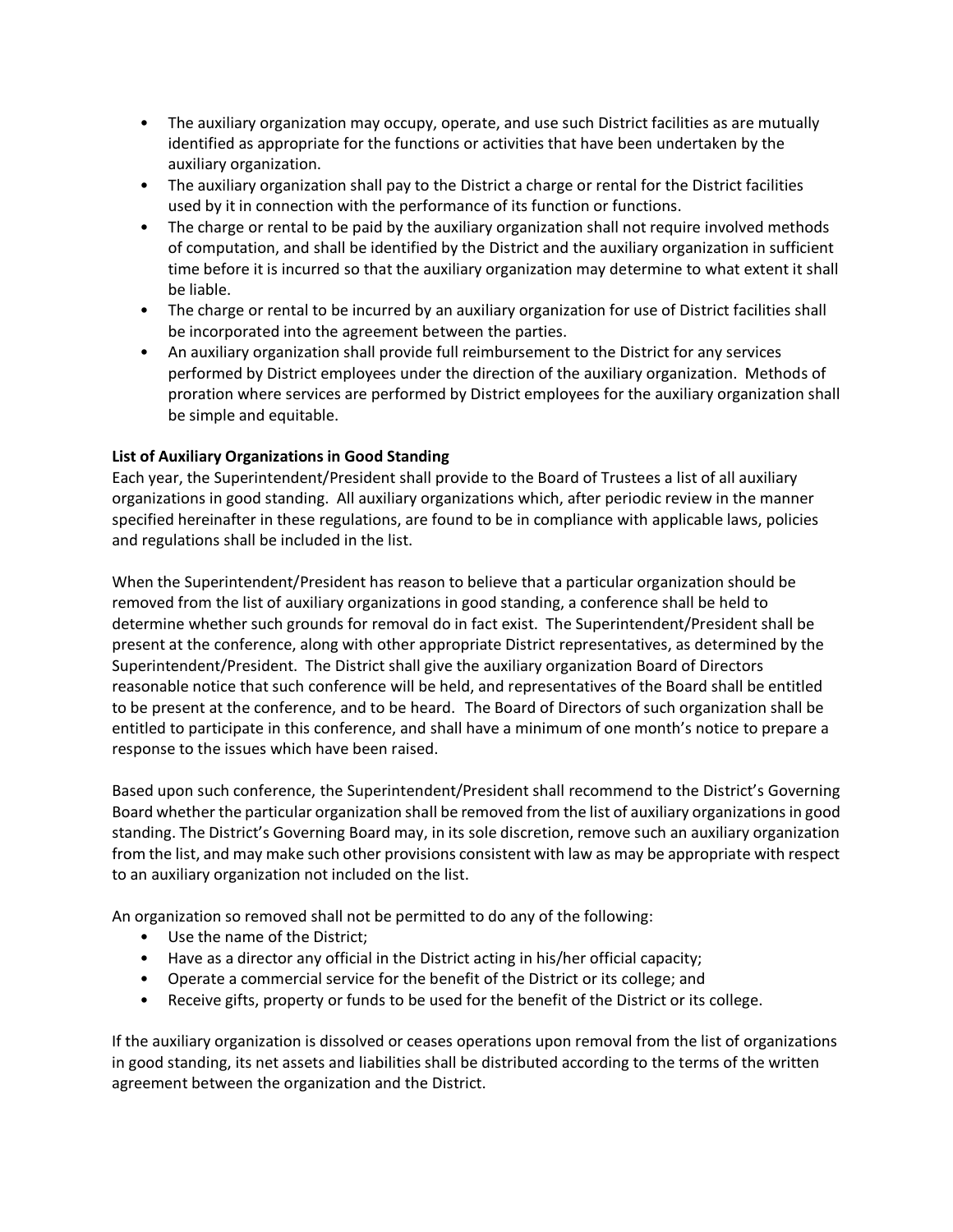- The auxiliary organization may occupy, operate, and use such District facilities as are mutually identified as appropriate for the functions or activities that have been undertaken by the auxiliary organization.
- The auxiliary organization shall pay to the District a charge or rental for the District facilities used by it in connection with the performance of its function or functions.
- The charge or rental to be paid by the auxiliary organization shall not require involved methods of computation, and shall be identified by the District and the auxiliary organization in sufficient time before it is incurred so that the auxiliary organization may determine to what extent it shall be liable.
- The charge or rental to be incurred by an auxiliary organization for use of District facilities shall be incorporated into the agreement between the parties.
- An auxiliary organization shall provide full reimbursement to the District for any services performed by District employees under the direction of the auxiliary organization. Methods of proration where services are performed by District employees for the auxiliary organization shall be simple and equitable.

# **List of Auxiliary Organizations in Good Standing**

Each year, the Superintendent/President shall provide to the Board of Trustees a list of all auxiliary organizations in good standing. All auxiliary organizations which, after periodic review in the manner specified hereinafter in these regulations, are found to be in compliance with applicable laws, policies and regulations shall be included in the list.

When the Superintendent/President has reason to believe that a particular organization should be removed from the list of auxiliary organizations in good standing, a conference shall be held to determine whether such grounds for removal do in fact exist. The Superintendent/President shall be present at the conference, along with other appropriate District representatives, as determined by the Superintendent/President. The District shall give the auxiliary organization Board of Directors reasonable notice that such conference will be held, and representatives of the Board shall be entitled to be present at the conference, and to be heard. The Board of Directors of such organization shall be entitled to participate in this conference, and shall have a minimum of one month's notice to prepare a response to the issues which have been raised.

Based upon such conference, the Superintendent/President shall recommend to the District's Governing Board whether the particular organization shall be removed from the list of auxiliary organizations in good standing. The District's Governing Board may, in its sole discretion, remove such an auxiliary organization from the list, and may make such other provisions consistent with law as may be appropriate with respect to an auxiliary organization not included on the list.

An organization so removed shall not be permitted to do any of the following:

- Use the name of the District;
- Have as a director any official in the District acting in his/her official capacity;
- Operate a commercial service for the benefit of the District or its college; and
- Receive gifts, property or funds to be used for the benefit of the District or its college.

If the auxiliary organization is dissolved or ceases operations upon removal from the list of organizations in good standing, its net assets and liabilities shall be distributed according to the terms of the written agreement between the organization and the District.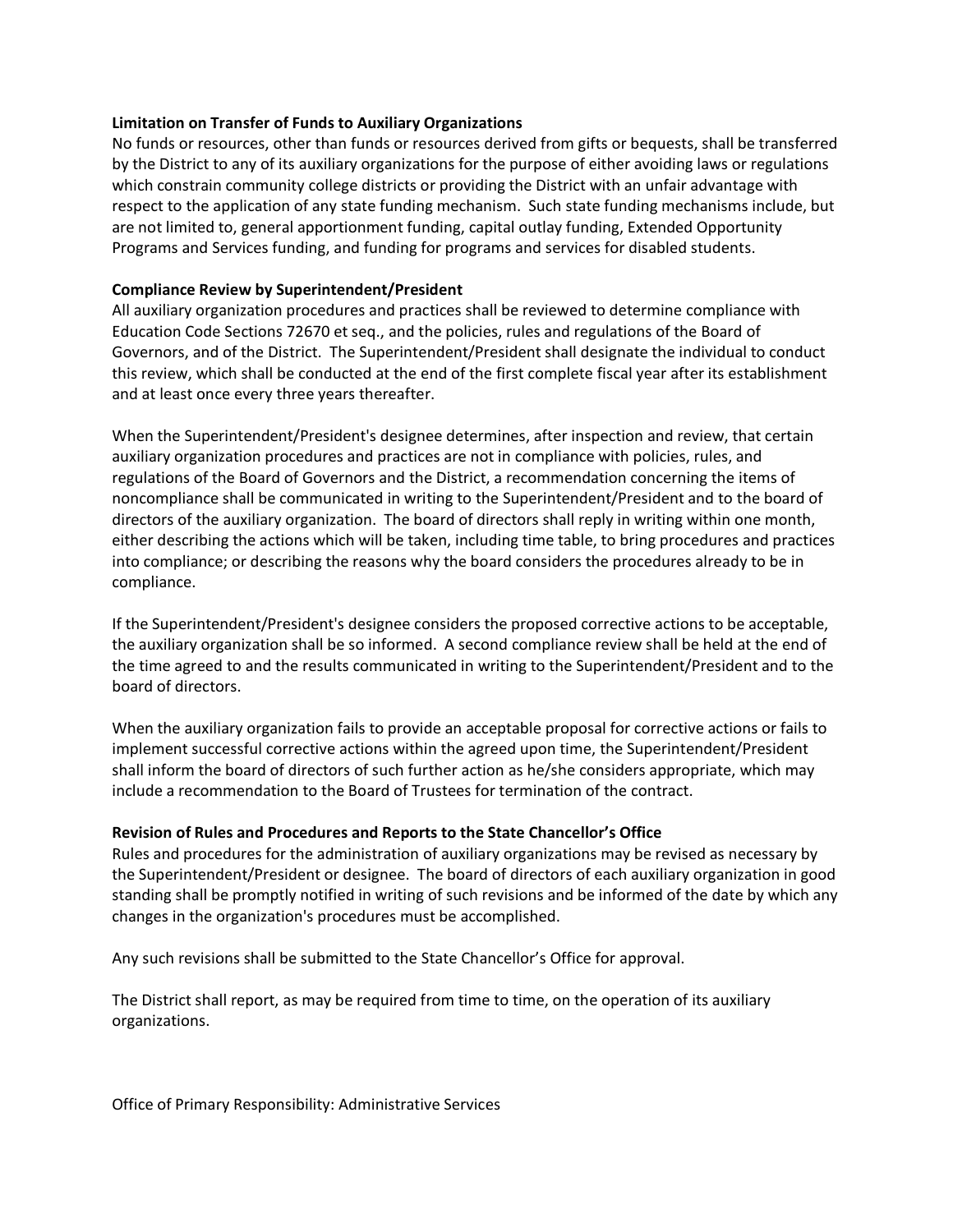### **Limitation on Transfer of Funds to Auxiliary Organizations**

No funds or resources, other than funds or resources derived from gifts or bequests, shall be transferred by the District to any of its auxiliary organizations for the purpose of either avoiding laws or regulations which constrain community college districts or providing the District with an unfair advantage with respect to the application of any state funding mechanism. Such state funding mechanisms include, but are not limited to, general apportionment funding, capital outlay funding, Extended Opportunity Programs and Services funding, and funding for programs and services for disabled students.

#### **Compliance Review by Superintendent/President**

All auxiliary organization procedures and practices shall be reviewed to determine compliance with Education Code Sections 72670 et seq., and the policies, rules and regulations of the Board of Governors, and of the District. The Superintendent/President shall designate the individual to conduct this review, which shall be conducted at the end of the first complete fiscal year after its establishment and at least once every three years thereafter.

When the Superintendent/President's designee determines, after inspection and review, that certain auxiliary organization procedures and practices are not in compliance with policies, rules, and regulations of the Board of Governors and the District, a recommendation concerning the items of noncompliance shall be communicated in writing to the Superintendent/President and to the board of directors of the auxiliary organization. The board of directors shall reply in writing within one month, either describing the actions which will be taken, including time table, to bring procedures and practices into compliance; or describing the reasons why the board considers the procedures already to be in compliance.

If the Superintendent/President's designee considers the proposed corrective actions to be acceptable, the auxiliary organization shall be so informed. A second compliance review shall be held at the end of the time agreed to and the results communicated in writing to the Superintendent/President and to the board of directors.

When the auxiliary organization fails to provide an acceptable proposal for corrective actions or fails to implement successful corrective actions within the agreed upon time, the Superintendent/President shall inform the board of directors of such further action as he/she considers appropriate, which may include a recommendation to the Board of Trustees for termination of the contract.

#### **Revision of Rules and Procedures and Reports to the State Chancellor's Office**

Rules and procedures for the administration of auxiliary organizations may be revised as necessary by the Superintendent/President or designee. The board of directors of each auxiliary organization in good standing shall be promptly notified in writing of such revisions and be informed of the date by which any changes in the organization's procedures must be accomplished.

Any such revisions shall be submitted to the State Chancellor's Office for approval.

The District shall report, as may be required from time to time, on the operation of its auxiliary organizations.

Office of Primary Responsibility: Administrative Services